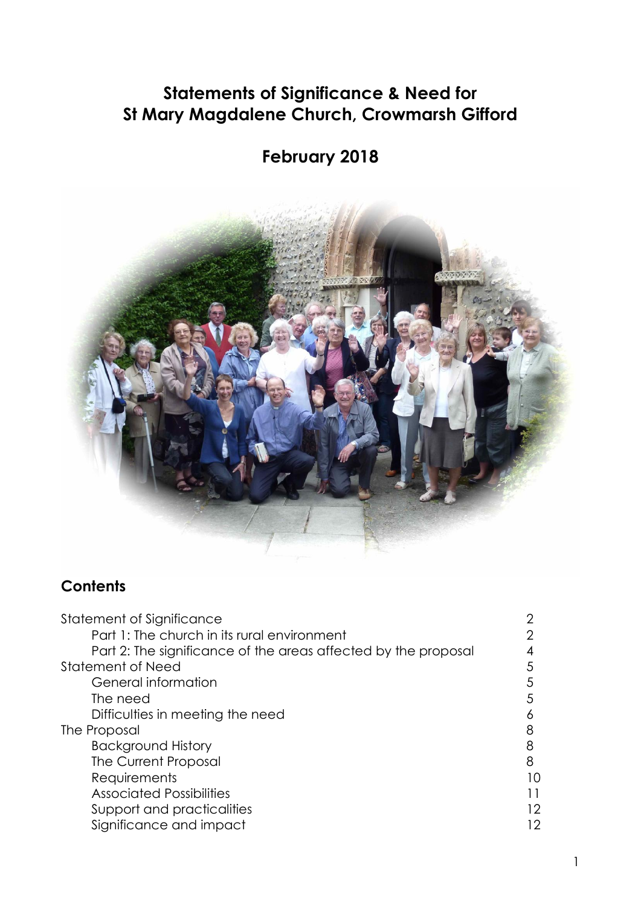# **Statements of Significance & Need for St Mary Magdalene Church, Crowmarsh Gifford**

# **February 2018**



# **Contents**

| Statement of Significance                                      |    |
|----------------------------------------------------------------|----|
| Part 1: The church in its rural environment                    |    |
| Part 2: The significance of the areas affected by the proposal |    |
| Statement of Need                                              | 5  |
| General information                                            | 5  |
| The need                                                       | 5  |
| Difficulties in meeting the need                               |    |
| The Proposal                                                   | 8  |
| <b>Background History</b>                                      | 8  |
| The Current Proposal                                           | 8  |
| Requirements                                                   | IO |
| <b>Associated Possibilities</b>                                |    |
| Support and practicalities                                     | 12 |
| Significance and impact                                        |    |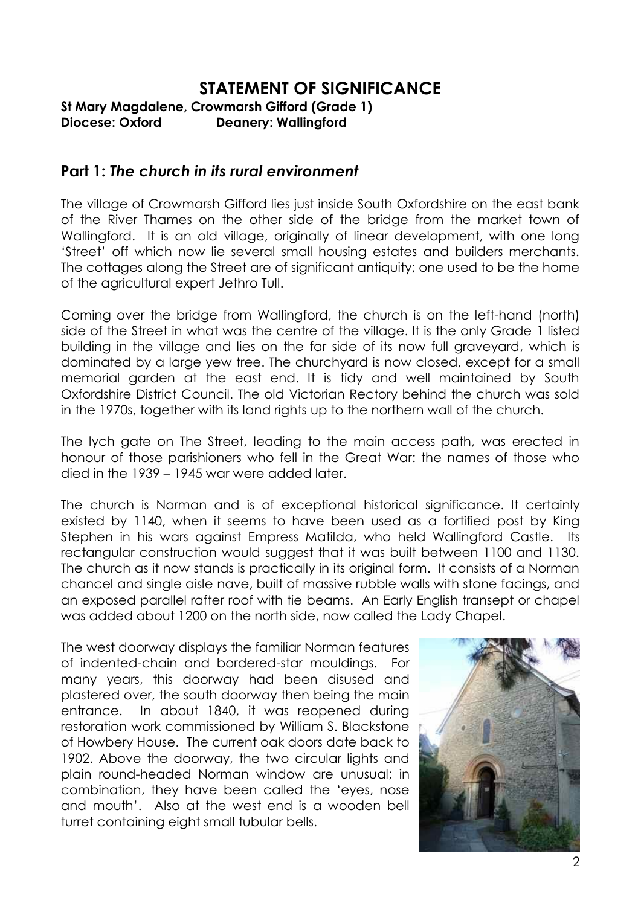# **STATEMENT OF SIGNIFICANCE**

**St Mary Magdalene, Crowmarsh Gifford (Grade 1) Diocese: Oxford Deanery: Wallingford**

### **Part 1:** *The church in its rural environment*

The village of Crowmarsh Gifford lies just inside South Oxfordshire on the east bank of the River Thames on the other side of the bridge from the market town of Wallingford. It is an old village, originally of linear development, with one long 'Street' off which now lie several small housing estates and builders merchants. The cottages along the Street are of significant antiquity; one used to be the home of the agricultural expert Jethro Tull.

Coming over the bridge from Wallingford, the church is on the left-hand (north) side of the Street in what was the centre of the village. It is the only Grade 1 listed building in the village and lies on the far side of its now full graveyard, which is dominated by a large yew tree. The churchyard is now closed, except for a small memorial garden at the east end. It is tidy and well maintained by South Oxfordshire District Council. The old Victorian Rectory behind the church was sold in the 1970s, together with its land rights up to the northern wall of the church.

The lych gate on The Street, leading to the main access path, was erected in honour of those parishioners who fell in the Great War: the names of those who died in the 1939 – 1945 war were added later.

The church is Norman and is of exceptional historical significance. It certainly existed by 1140, when it seems to have been used as a fortified post by King Stephen in his wars against Empress Matilda, who held Wallingford Castle. Its rectangular construction would suggest that it was built between 1100 and 1130. The church as it now stands is practically in its original form. It consists of a Norman chancel and single aisle nave, built of massive rubble walls with stone facings, and an exposed parallel rafter roof with tie beams. An Early English transept or chapel was added about 1200 on the north side, now called the Lady Chapel.

The west doorway displays the familiar Norman features of indented-chain and bordered-star mouldings. For many years, this doorway had been disused and plastered over, the south doorway then being the main entrance. In about 1840, it was reopened during restoration work commissioned by William S. Blackstone of Howbery House. The current oak doors date back to 1902. Above the doorway, the two circular lights and plain round-headed Norman window are unusual; in combination, they have been called the 'eyes, nose and mouth'. Also at the west end is a wooden bell turret containing eight small tubular bells.

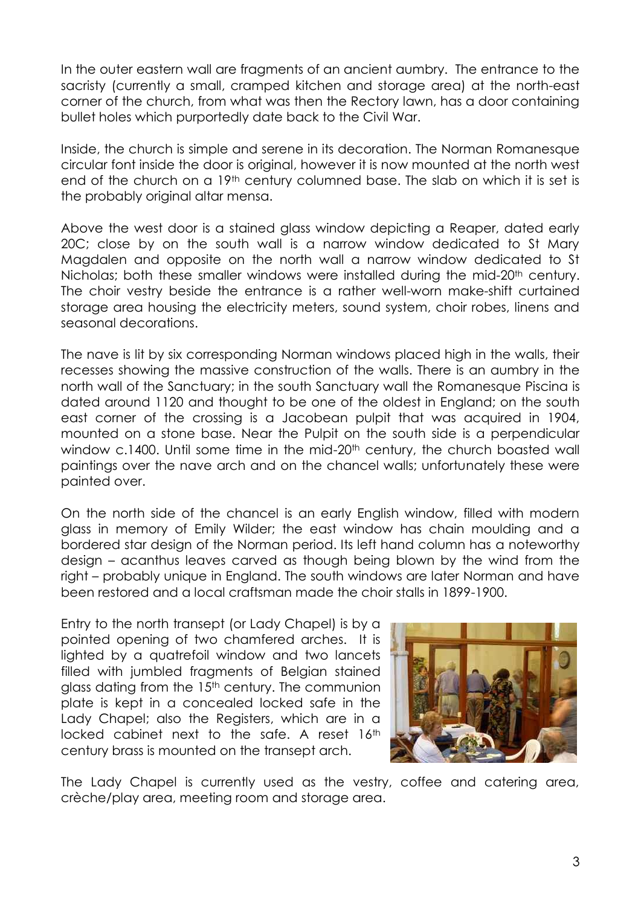In the outer eastern wall are fragments of an ancient aumbry. The entrance to the sacristy (currently a small, cramped kitchen and storage area) at the north-east corner of the church, from what was then the Rectory lawn, has a door containing bullet holes which purportedly date back to the Civil War.

Inside, the church is simple and serene in its decoration. The Norman Romanesque circular font inside the door is original, however it is now mounted at the north west end of the church on a 19<sup>th</sup> century columned base. The slab on which it is set is the probably original altar mensa.

Above the west door is a stained glass window depicting a Reaper, dated early 20C; close by on the south wall is a narrow window dedicated to St Mary Magdalen and opposite on the north wall a narrow window dedicated to St Nicholas; both these smaller windows were installed during the mid-20<sup>th</sup> century. The choir vestry beside the entrance is a rather well-worn make-shift curtained storage area housing the electricity meters, sound system, choir robes, linens and seasonal decorations.

The nave is lit by six corresponding Norman windows placed high in the walls, their recesses showing the massive construction of the walls. There is an aumbry in the north wall of the Sanctuary; in the south Sanctuary wall the Romanesque Piscina is dated around 1120 and thought to be one of the oldest in England; on the south east corner of the crossing is a Jacobean pulpit that was acquired in 1904, mounted on a stone base. Near the Pulpit on the south side is a perpendicular window c.1400. Until some time in the mid-20<sup>th</sup> century, the church boasted wall paintings over the nave arch and on the chancel walls; unfortunately these were painted over.

On the north side of the chancel is an early English window, filled with modern glass in memory of Emily Wilder; the east window has chain moulding and a bordered star design of the Norman period. Its left hand column has a noteworthy design – acanthus leaves carved as though being blown by the wind from the right – probably unique in England. The south windows are later Norman and have been restored and a local craftsman made the choir stalls in 1899-1900.

Entry to the north transept (or Lady Chapel) is by a pointed opening of two chamfered arches. It is lighted by a quatrefoil window and two lancets filled with jumbled fragments of Belgian stained glass dating from the 15<sup>th</sup> century. The communion plate is kept in a concealed locked safe in the Lady Chapel; also the Registers, which are in a locked cabinet next to the safe. A reset 16th century brass is mounted on the transept arch.



The Lady Chapel is currently used as the vestry, coffee and catering area, crèche/play area, meeting room and storage area.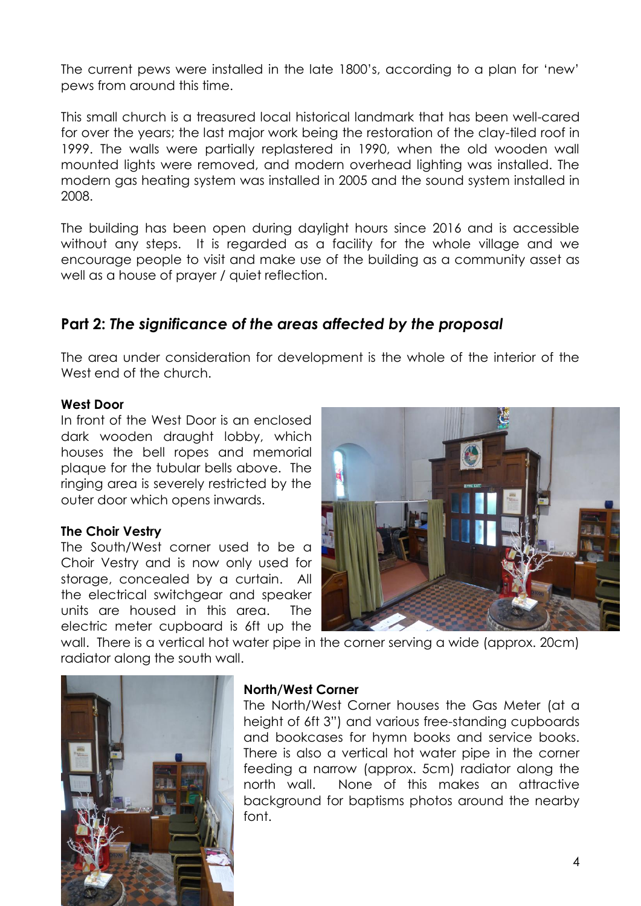The current pews were installed in the late 1800's, according to a plan for 'new' pews from around this time.

This small church is a treasured local historical landmark that has been well-cared for over the years; the last major work being the restoration of the clay-tiled roof in 1999. The walls were partially replastered in 1990, when the old wooden wall mounted lights were removed, and modern overhead lighting was installed. The modern gas heating system was installed in 2005 and the sound system installed in 2008.

The building has been open during daylight hours since 2016 and is accessible without any steps. It is regarded as a facility for the whole village and we encourage people to visit and make use of the building as a community asset as well as a house of prayer / quiet reflection.

## **Part 2:** *The significance of the areas affected by the proposal*

The area under consideration for development is the whole of the interior of the West end of the church.

#### **West Door**

In front of the West Door is an enclosed dark wooden draught lobby, which houses the bell ropes and memorial plaque for the tubular bells above. The ringing area is severely restricted by the outer door which opens inwards.

#### **The Choir Vestry**

The South/West corner used to be a Choir Vestry and is now only used for storage, concealed by a curtain. All the electrical switchgear and speaker units are housed in this area. The electric meter cupboard is 6ft up the



wall. There is a vertical hot water pipe in the corner serving a wide (approx. 20cm) radiator along the south wall.



#### **North/West Corner**

The North/West Corner houses the Gas Meter (at a height of 6ft 3") and various free-standing cupboards and bookcases for hymn books and service books. There is also a vertical hot water pipe in the corner feeding a narrow (approx. 5cm) radiator along the north wall. None of this makes an attractive background for baptisms photos around the nearby font.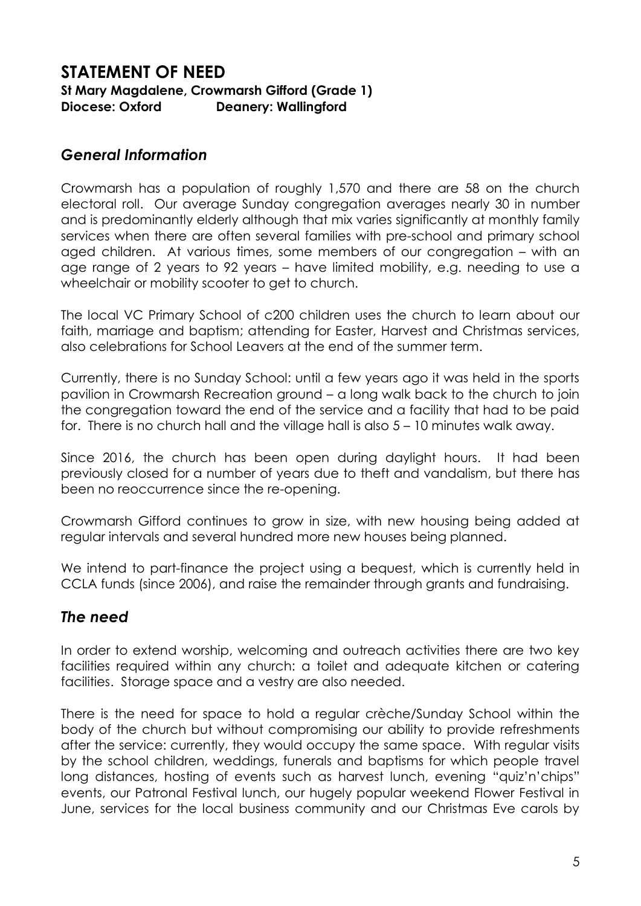### **STATEMENT OF NEED St Mary Magdalene, Crowmarsh Gifford (Grade 1) Diocese: Oxford Deanery: Wallingford**

### *General Information*

Crowmarsh has a population of roughly 1,570 and there are 58 on the church electoral roll. Our average Sunday congregation averages nearly 30 in number and is predominantly elderly although that mix varies significantly at monthly family services when there are often several families with pre-school and primary school aged children. At various times, some members of our congregation – with an age range of 2 years to 92 years – have limited mobility, e.g. needing to use a wheelchair or mobility scooter to get to church.

The local VC Primary School of c200 children uses the church to learn about our faith, marriage and baptism; attending for Easter, Harvest and Christmas services, also celebrations for School Leavers at the end of the summer term.

Currently, there is no Sunday School: until a few years ago it was held in the sports pavilion in Crowmarsh Recreation ground – a long walk back to the church to join the congregation toward the end of the service and a facility that had to be paid for. There is no church hall and the village hall is also 5 – 10 minutes walk away.

Since 2016, the church has been open during daylight hours. It had been previously closed for a number of years due to theft and vandalism, but there has been no reoccurrence since the re-opening.

Crowmarsh Gifford continues to grow in size, with new housing being added at regular intervals and several hundred more new houses being planned.

We intend to part-finance the project using a bequest, which is currently held in CCLA funds (since 2006), and raise the remainder through grants and fundraising.

## *The need*

In order to extend worship, welcoming and outreach activities there are two key facilities required within any church: a toilet and adequate kitchen or catering facilities. Storage space and a vestry are also needed.

There is the need for space to hold a regular crèche/Sunday School within the body of the church but without compromising our ability to provide refreshments after the service: currently, they would occupy the same space. With regular visits by the school children, weddings, funerals and baptisms for which people travel long distances, hosting of events such as harvest lunch, evening "quiz'n'chips" events, our Patronal Festival lunch, our hugely popular weekend Flower Festival in June, services for the local business community and our Christmas Eve carols by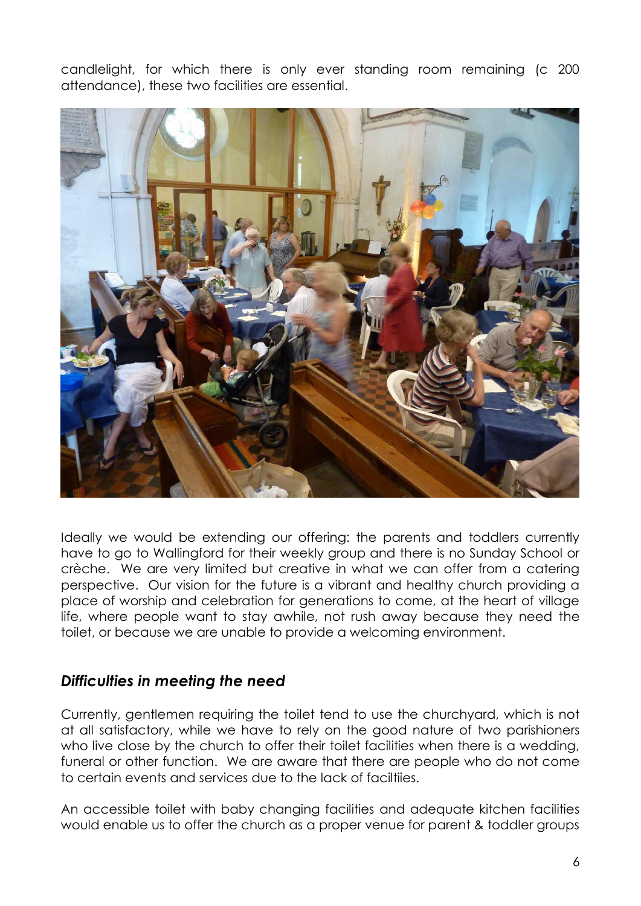candlelight, for which there is only ever standing room remaining (c 200 attendance), these two facilities are essential.



Ideally we would be extending our offering: the parents and toddlers currently have to go to Wallingford for their weekly group and there is no Sunday School or crèche. We are very limited but creative in what we can offer from a catering perspective. Our vision for the future is a vibrant and healthy church providing a place of worship and celebration for generations to come, at the heart of village life, where people want to stay awhile, not rush away because they need the toilet, or because we are unable to provide a welcoming environment.

### *Difficulties in meeting the need*

Currently, gentlemen requiring the toilet tend to use the churchyard, which is not at all satisfactory, while we have to rely on the good nature of two parishioners who live close by the church to offer their toilet facilities when there is a wedding, funeral or other function. We are aware that there are people who do not come to certain events and services due to the lack of faciltiies.

An accessible toilet with baby changing facilities and adequate kitchen facilities would enable us to offer the church as a proper venue for parent & toddler groups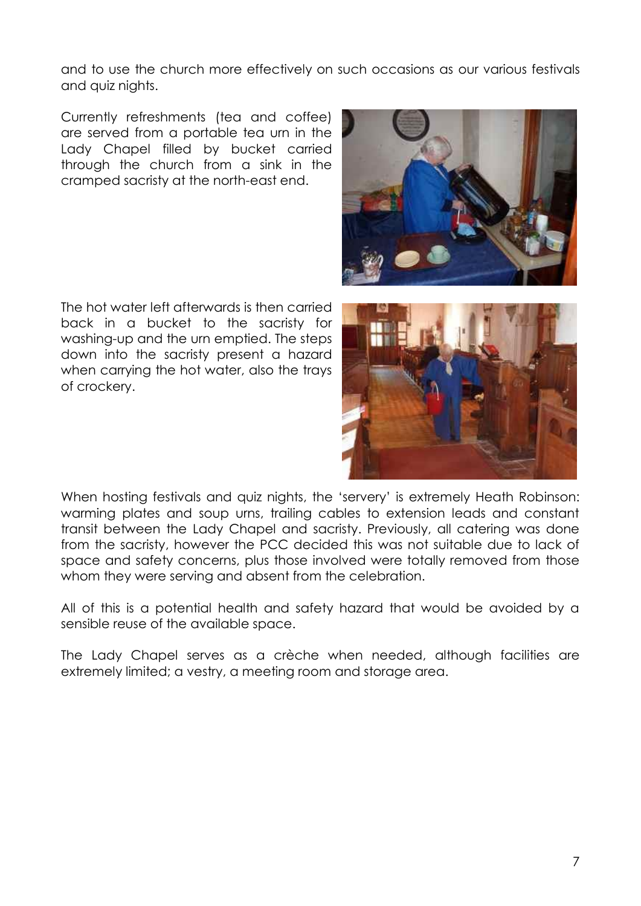and to use the church more effectively on such occasions as our various festivals and quiz nights.

Currently refreshments (tea and coffee) are served from a portable tea urn in the Lady Chapel filled by bucket carried through the church from a sink in the cramped sacristy at the north-east end.

The hot water left afterwards is then carried back in a bucket to the sacristy for washing-up and the urn emptied. The steps down into the sacristy present a hazard when carrying the hot water, also the trays of crockery.





When hosting festivals and quiz nights, the 'servery' is extremely Heath Robinson: warming plates and soup urns, trailing cables to extension leads and constant transit between the Lady Chapel and sacristy. Previously, all catering was done from the sacristy, however the PCC decided this was not suitable due to lack of space and safety concerns, plus those involved were totally removed from those whom they were serving and absent from the celebration.

All of this is a potential health and safety hazard that would be avoided by a sensible reuse of the available space.

The Lady Chapel serves as a crèche when needed, although facilities are extremely limited; a vestry, a meeting room and storage area.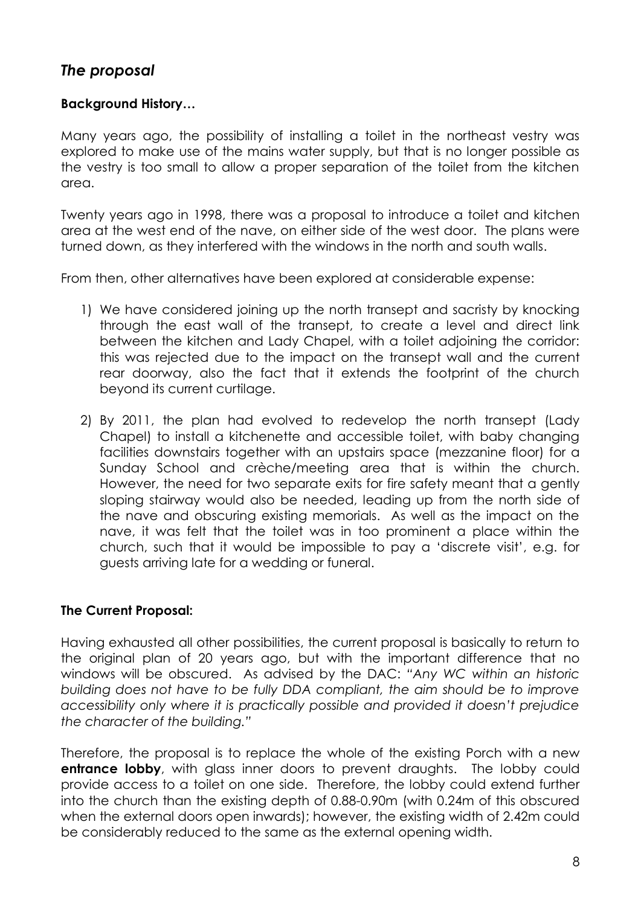## *The proposal*

### **Background History…**

Many years ago, the possibility of installing a toilet in the northeast vestry was explored to make use of the mains water supply, but that is no longer possible as the vestry is too small to allow a proper separation of the toilet from the kitchen area.

Twenty years ago in 1998, there was a proposal to introduce a toilet and kitchen area at the west end of the nave, on either side of the west door. The plans were turned down, as they interfered with the windows in the north and south walls.

From then, other alternatives have been explored at considerable expense:

- 1) We have considered joining up the north transept and sacristy by knocking through the east wall of the transept, to create a level and direct link between the kitchen and Lady Chapel, with a toilet adjoining the corridor: this was rejected due to the impact on the transept wall and the current rear doorway, also the fact that it extends the footprint of the church beyond its current curtilage.
- 2) By 2011, the plan had evolved to redevelop the north transept (Lady Chapel) to install a kitchenette and accessible toilet, with baby changing facilities downstairs together with an upstairs space (mezzanine floor) for a Sunday School and crèche/meeting area that is within the church. However, the need for two separate exits for fire safety meant that a gently sloping stairway would also be needed, leading up from the north side of the nave and obscuring existing memorials. As well as the impact on the nave, it was felt that the toilet was in too prominent a place within the church, such that it would be impossible to pay a 'discrete visit', e.g. for guests arriving late for a wedding or funeral.

#### **The Current Proposal:**

Having exhausted all other possibilities, the current proposal is basically to return to the original plan of 20 years ago, but with the important difference that no windows will be obscured. As advised by the DAC: *"Any WC within an historic building does not have to be fully DDA compliant, the aim should be to improve accessibility only where it is practically possible and provided it doesn't prejudice the character of the building."*

Therefore, the proposal is to replace the whole of the existing Porch with a new **entrance lobby**, with glass inner doors to prevent draughts. The lobby could provide access to a toilet on one side. Therefore, the lobby could extend further into the church than the existing depth of 0.88-0.90m (with 0.24m of this obscured when the external doors open inwards); however, the existing width of 2.42m could be considerably reduced to the same as the external opening width.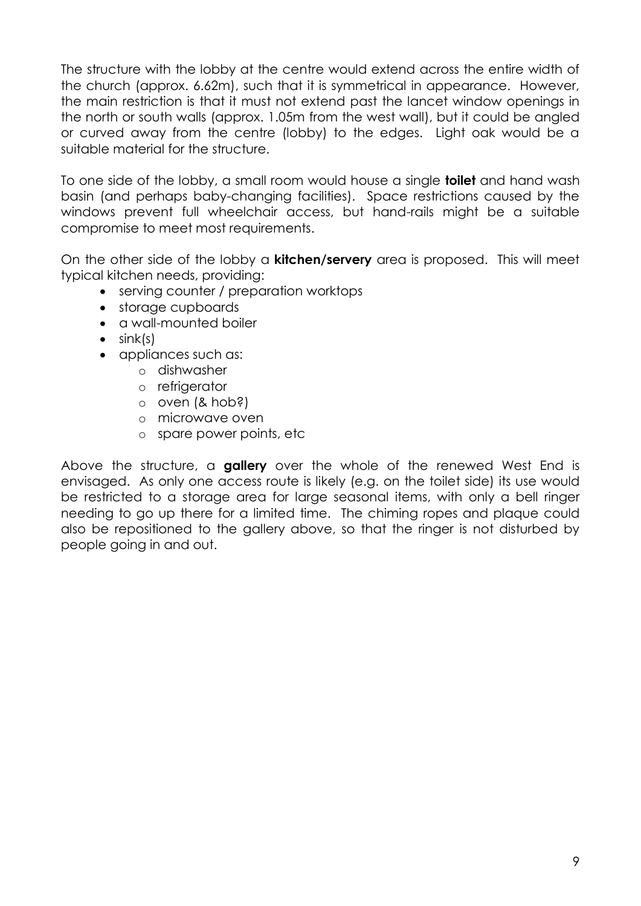The structure with the lobby at the centre would extend across the entire width of the church (approx. 6.62m), such that it is symmetrical in appearance. However, the main restriction is that it must not extend past the lancet window openings in the north or south walls (approx. 1.05m from the west wall), but it could be angled or curved away from the centre (lobby) to the edges. Light oak would be a suitable material for the structure.

To one side of the lobby, a small room would house a single **toilet** and hand wash basin (and perhaps baby-changing facilities). Space restrictions caused by the windows prevent full wheelchair access, but hand-rails might be a suitable compromise to meet most requirements.

On the other side of the lobby a **kitchen/servery** area is proposed. This will meet typical kitchen needs, providing:

- serving counter / preparation worktops
- storage cupboards
- a wall-mounted boiler
- $\bullet$  sink(s)
- appliances such as:
	- o dishwasher
	- o refrigerator
	- o oven (& hob?)
	- o microwave oven
	- o spare power points, etc

Above the structure, a **gallery** over the whole of the renewed West End is envisaged. As only one access route is likely (e.g. on the toilet side) its use would be restricted to a storage area for large seasonal items, with only a bell ringer needing to go up there for a limited time. The chiming ropes and plaque could also be repositioned to the gallery above, so that the ringer is not disturbed by people going in and out.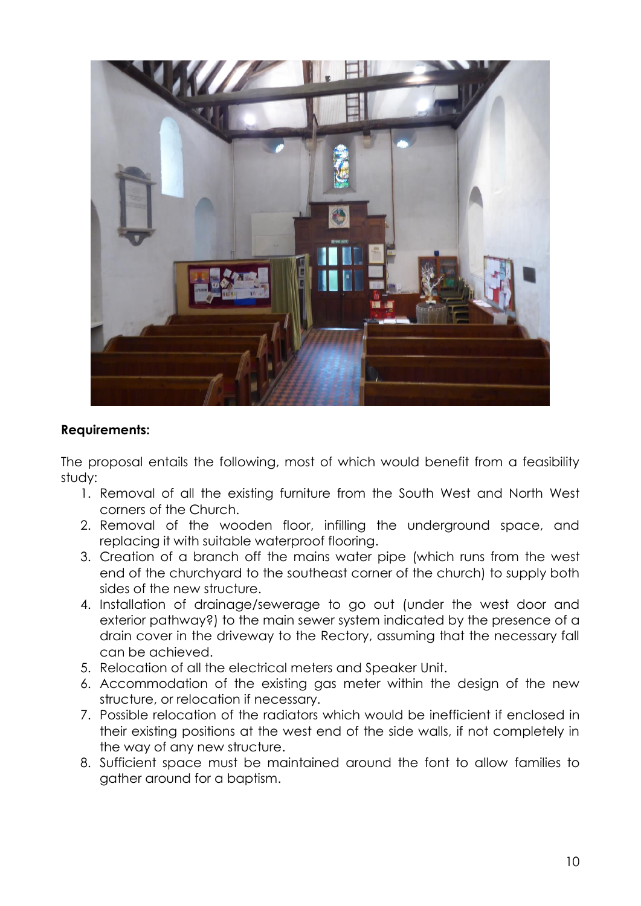

#### **Requirements:**

The proposal entails the following, most of which would benefit from a feasibility study:

- 1. Removal of all the existing furniture from the South West and North West corners of the Church.
- 2. Removal of the wooden floor, infilling the underground space, and replacing it with suitable waterproof flooring.
- 3. Creation of a branch off the mains water pipe (which runs from the west end of the churchyard to the southeast corner of the church) to supply both sides of the new structure.
- 4. Installation of drainage/sewerage to go out (under the west door and exterior pathway?) to the main sewer system indicated by the presence of a drain cover in the driveway to the Rectory, assuming that the necessary fall can be achieved.
- 5. Relocation of all the electrical meters and Speaker Unit.
- 6. Accommodation of the existing gas meter within the design of the new structure, or relocation if necessary.
- 7. Possible relocation of the radiators which would be inefficient if enclosed in their existing positions at the west end of the side walls, if not completely in the way of any new structure.
- 8. Sufficient space must be maintained around the font to allow families to gather around for a baptism.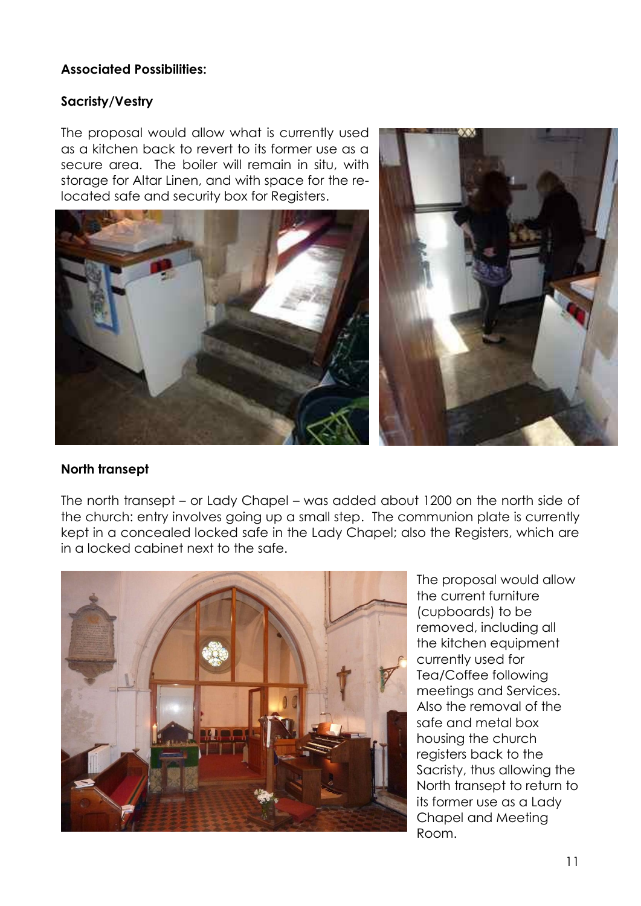#### **Associated Possibilities:**

#### **Sacristy/Vestry**

The proposal would allow what is currently used as a kitchen back to revert to its former use as a secure area. The boiler will remain in situ, with storage for Altar Linen, and with space for the relocated safe and security box for Registers.





### **North transept**

The north transept – or Lady Chapel – was added about 1200 on the north side of the church: entry involves going up a small step. The communion plate is currently kept in a concealed locked safe in the Lady Chapel; also the Registers, which are in a locked cabinet next to the safe.



The proposal would allow the current furniture (cupboards) to be removed, including all the kitchen equipment currently used for Tea/Coffee following meetings and Services. Also the removal of the safe and metal box housing the church registers back to the Sacristy, thus allowing the North transept to return to its former use as a Lady Chapel and Meeting Room.